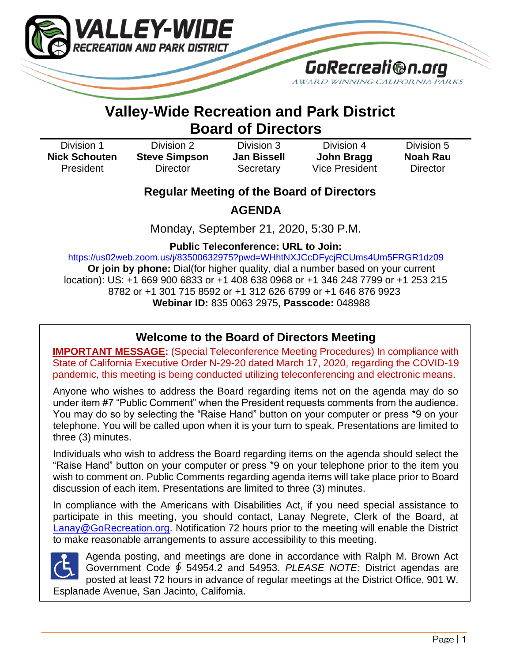

# **Valley-Wide Recreation and Park District Board of Directors**

| Division 1           | Division 2           | Division 3         | Division 4     | Division 5 |
|----------------------|----------------------|--------------------|----------------|------------|
| <b>Nick Schouten</b> | <b>Steve Simpson</b> | <b>Jan Bissell</b> | John Bragg     | Noah Rau   |
| President            | Director             | Secretary          | Vice President | Director   |

## **Regular Meeting of the Board of Directors**

**AGENDA**

Monday, September 21, 2020, 5:30 P.M.

**Public Teleconference: URL to Join:** 

[https://us02web.zoom.us/j/83500632975?pwd=WHhtNXJCcDFycjRCUms4Um5FRGR1dz09](https://www.google.com/url?q=https://us02web.zoom.us/j/83500632975?pwd%3DWHhtNXJCcDFycjRCUms4Um5FRGR1dz09&sa=D&source=calendar&ust=1599674668456000&usg=AOvVaw1VimGEfNoHcUW0OA2biMo6) **Or join by phone:** Dial(for higher quality, dial a number based on your current location): US: +1 669 900 6833 or +1 408 638 0968 or +1 346 248 7799 or +1 253 215 8782 or +1 301 715 8592 or +1 312 626 6799 or +1 646 876 9923 **Webinar ID:** 835 0063 2975, **Passcode:** 048988

## $\overline{a}$ **Welcome to the Board of Directors Meeting**

**IMPORTANT MESSAGE:** (Special Teleconference Meeting Procedures) In compliance with State of California Executive Order N-29-20 dated March 17, 2020, regarding the COVID-19 pandemic, this meeting is being conducted utilizing teleconferencing and electronic means.

Anyone who wishes to address the Board regarding items not on the agenda may do so under item #7 "Public Comment" when the President requests comments from the audience. You may do so by selecting the "Raise Hand" button on your computer or press \*9 on your telephone. You will be called upon when it is your turn to speak. Presentations are limited to three (3) minutes.

Individuals who wish to address the Board regarding items on the agenda should select the "Raise Hand" button on your computer or press \*9 on your telephone prior to the item you wish to comment on. Public Comments regarding agenda items will take place prior to Board discussion of each item. Presentations are limited to three (3) minutes.

In compliance with the Americans with Disabilities Act, if you need special assistance to participate in this meeting, you should contact, Lanay Negrete, Clerk of the Board, at [Lanay@GoRecreation.org.](mailto:Lanay@GoRecreation.org) Notification 72 hours prior to the meeting will enable the District to make reasonable arrangements to assure accessibility to this meeting.

\_\_\_\_\_\_\_\_\_\_\_\_\_\_\_\_\_\_\_\_\_\_\_\_\_\_\_\_\_\_\_\_\_\_\_\_\_\_\_\_\_\_\_\_\_\_\_\_\_\_\_\_\_\_\_\_\_\_\_\_\_\_\_\_\_\_\_\_\_\_\_\_\_\_\_\_\_\_\_\_\_\_\_\_\_\_\_\_\_\_\_\_\_\_\_\_\_\_\_\_\_\_\_\_\_\_\_\_\_\_\_\_\_\_\_\_\_\_\_\_\_\_\_\_\_\_\_



Agenda posting, and meetings are done in accordance with Ralph M. Brown Act Government Code ∮ 54954.2 and 54953. *PLEASE NOTE:* District agendas are posted at least 72 hours in advance of regular meetings at the District Office, 901 W. Esplanade Avenue, San Jacinto, California.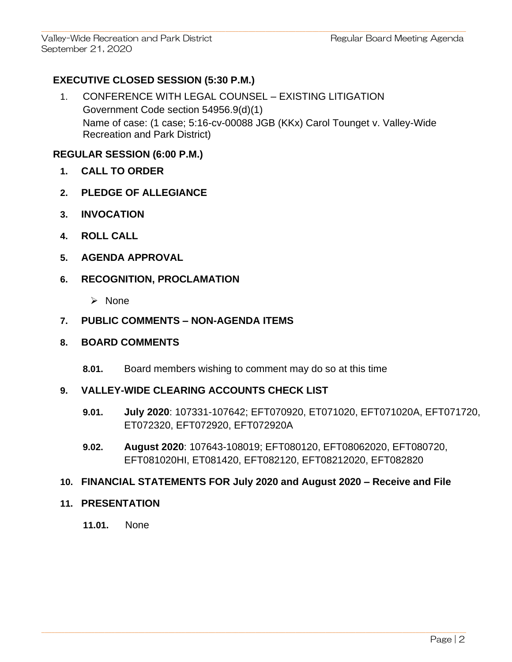Valley-Wide Recreation and Park District **Regular Board Meeting Agenda** September 21, 2020

## **EXECUTIVE CLOSED SESSION (5:30 P.M.)**

1. CONFERENCE WITH LEGAL COUNSEL – EXISTING LITIGATION Government Code section 54956.9(d)(1) Name of case: (1 case; 5:16-cv-00088 JGB (KKx) Carol Tounget v. Valley-Wide Recreation and Park District)

 $\mathcal{L}_\mathcal{L} = \{ \mathcal{L}_\mathcal{L} = \{ \mathcal{L}_\mathcal{L} = \{ \mathcal{L}_\mathcal{L} = \{ \mathcal{L}_\mathcal{L} = \{ \mathcal{L}_\mathcal{L} = \{ \mathcal{L}_\mathcal{L} = \{ \mathcal{L}_\mathcal{L} = \{ \mathcal{L}_\mathcal{L} = \{ \mathcal{L}_\mathcal{L} = \{ \mathcal{L}_\mathcal{L} = \{ \mathcal{L}_\mathcal{L} = \{ \mathcal{L}_\mathcal{L} = \{ \mathcal{L}_\mathcal{L} = \{ \mathcal{L}_\mathcal{$ 

## **REGULAR SESSION (6:00 P.M.)**

- **1. CALL TO ORDER**
- **2. PLEDGE OF ALLEGIANCE**
- **3. INVOCATION**
- **4. ROLL CALL**
- **5. AGENDA APPROVAL**

## **6. RECOGNITION, PROCLAMATION**

➢ None

## **7. PUBLIC COMMENTS – NON-AGENDA ITEMS**

## **8. BOARD COMMENTS**

**8.01.** Board members wishing to comment may do so at this time

## **9. VALLEY-WIDE CLEARING ACCOUNTS CHECK LIST**

- **9.01. July 2020**: 107331-107642; EFT070920, ET071020, EFT071020A, EFT071720, ET072320, EFT072920, EFT072920A
- **9.02. August 2020**: 107643-108019; EFT080120, EFT08062020, EFT080720, EFT081020HI, ET081420, EFT082120, EFT08212020, EFT082820

## **10. FINANCIAL STATEMENTS FOR July 2020 and August 2020 – Receive and File**

 $\mathcal{L}_\mathcal{L} = \{ \mathcal{L}_\mathcal{L} = \{ \mathcal{L}_\mathcal{L} = \{ \mathcal{L}_\mathcal{L} = \{ \mathcal{L}_\mathcal{L} = \{ \mathcal{L}_\mathcal{L} = \{ \mathcal{L}_\mathcal{L} = \{ \mathcal{L}_\mathcal{L} = \{ \mathcal{L}_\mathcal{L} = \{ \mathcal{L}_\mathcal{L} = \{ \mathcal{L}_\mathcal{L} = \{ \mathcal{L}_\mathcal{L} = \{ \mathcal{L}_\mathcal{L} = \{ \mathcal{L}_\mathcal{L} = \{ \mathcal{L}_\mathcal{$ 

#### **11. PRESENTATION**

**11.01.** None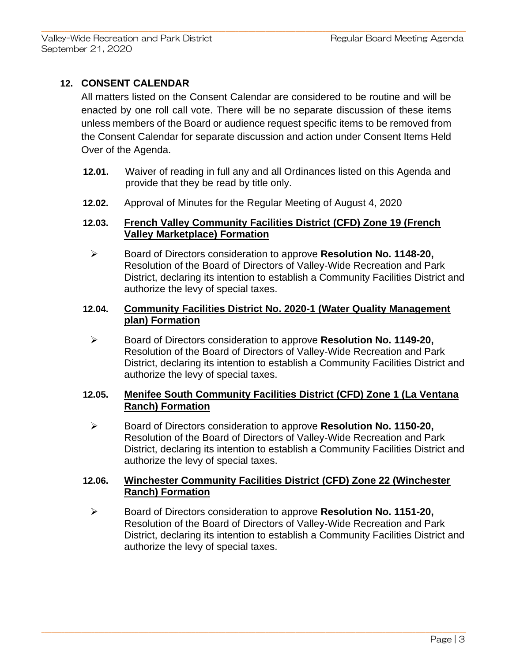## **12. CONSENT CALENDAR**

All matters listed on the Consent Calendar are considered to be routine and will be enacted by one roll call vote. There will be no separate discussion of these items unless members of the Board or audience request specific items to be removed from the Consent Calendar for separate discussion and action under Consent Items Held Over of the Agenda.

 $\mathcal{L}_\mathcal{L} = \{ \mathcal{L}_\mathcal{L} = \{ \mathcal{L}_\mathcal{L} = \{ \mathcal{L}_\mathcal{L} = \{ \mathcal{L}_\mathcal{L} = \{ \mathcal{L}_\mathcal{L} = \{ \mathcal{L}_\mathcal{L} = \{ \mathcal{L}_\mathcal{L} = \{ \mathcal{L}_\mathcal{L} = \{ \mathcal{L}_\mathcal{L} = \{ \mathcal{L}_\mathcal{L} = \{ \mathcal{L}_\mathcal{L} = \{ \mathcal{L}_\mathcal{L} = \{ \mathcal{L}_\mathcal{L} = \{ \mathcal{L}_\mathcal{$ 

- **12.01.** Waiver of reading in full any and all Ordinances listed on this Agenda and provide that they be read by title only.
- **12.02.** Approval of Minutes for the Regular Meeting of August 4, 2020

#### **12.03. French Valley Community Facilities District (CFD) Zone 19 (French Valley Marketplace) Formation**

➢ Board of Directors consideration to approve **Resolution No. 1148-20,**  Resolution of the Board of Directors of Valley-Wide Recreation and Park District, declaring its intention to establish a Community Facilities District and authorize the levy of special taxes.

#### **12.04. Community Facilities District No. 2020-1 (Water Quality Management plan) Formation**

➢ Board of Directors consideration to approve **Resolution No. 1149-20,** Resolution of the Board of Directors of Valley-Wide Recreation and Park District, declaring its intention to establish a Community Facilities District and authorize the levy of special taxes.

## **12.05. Menifee South Community Facilities District (CFD) Zone 1 (La Ventana Ranch) Formation**

➢ Board of Directors consideration to approve **Resolution No. 1150-20,** Resolution of the Board of Directors of Valley-Wide Recreation and Park District, declaring its intention to establish a Community Facilities District and authorize the levy of special taxes.

#### **12.06. Winchester Community Facilities District (CFD) Zone 22 (Winchester Ranch) Formation**

 $\mathcal{L}_\mathcal{L} = \{ \mathcal{L}_\mathcal{L} = \{ \mathcal{L}_\mathcal{L} = \{ \mathcal{L}_\mathcal{L} = \{ \mathcal{L}_\mathcal{L} = \{ \mathcal{L}_\mathcal{L} = \{ \mathcal{L}_\mathcal{L} = \{ \mathcal{L}_\mathcal{L} = \{ \mathcal{L}_\mathcal{L} = \{ \mathcal{L}_\mathcal{L} = \{ \mathcal{L}_\mathcal{L} = \{ \mathcal{L}_\mathcal{L} = \{ \mathcal{L}_\mathcal{L} = \{ \mathcal{L}_\mathcal{L} = \{ \mathcal{L}_\mathcal{$ 

➢ Board of Directors consideration to approve **Resolution No. 1151-20,** Resolution of the Board of Directors of Valley-Wide Recreation and Park District, declaring its intention to establish a Community Facilities District and authorize the levy of special taxes.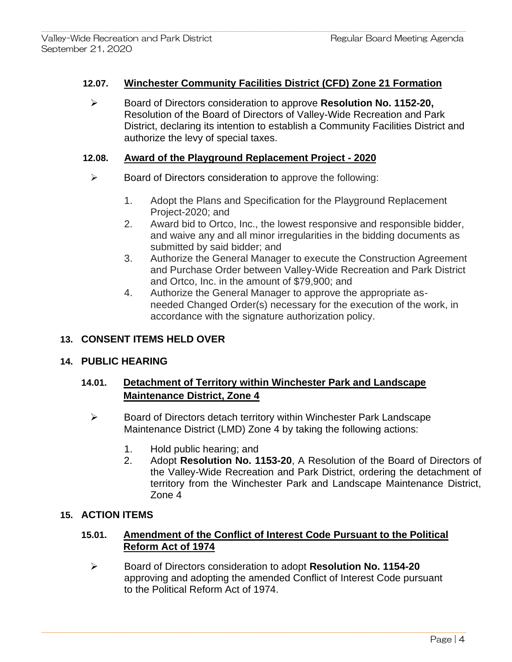#### **12.07. Winchester Community Facilities District (CFD) Zone 21 Formation**

 $\mathcal{L}_\mathcal{L} = \{ \mathcal{L}_\mathcal{L} = \{ \mathcal{L}_\mathcal{L} = \{ \mathcal{L}_\mathcal{L} = \{ \mathcal{L}_\mathcal{L} = \{ \mathcal{L}_\mathcal{L} = \{ \mathcal{L}_\mathcal{L} = \{ \mathcal{L}_\mathcal{L} = \{ \mathcal{L}_\mathcal{L} = \{ \mathcal{L}_\mathcal{L} = \{ \mathcal{L}_\mathcal{L} = \{ \mathcal{L}_\mathcal{L} = \{ \mathcal{L}_\mathcal{L} = \{ \mathcal{L}_\mathcal{L} = \{ \mathcal{L}_\mathcal{$ 

➢ Board of Directors consideration to approve **Resolution No. 1152-20,** Resolution of the Board of Directors of Valley-Wide Recreation and Park District, declaring its intention to establish a Community Facilities District and authorize the levy of special taxes.

#### **12.08. Award of the Playground Replacement Project - 2020**

- $\triangleright$  Board of Directors consideration to approve the following:
	- 1. Adopt the Plans and Specification for the Playground Replacement Project-2020; and
	- 2. Award bid to Ortco, Inc., the lowest responsive and responsible bidder, and waive any and all minor irregularities in the bidding documents as submitted by said bidder; and
	- 3. Authorize the General Manager to execute the Construction Agreement and Purchase Order between Valley-Wide Recreation and Park District and Ortco, Inc. in the amount of \$79,900; and
	- 4. Authorize the General Manager to approve the appropriate asneeded Changed Order(s) necessary for the execution of the work, in accordance with the signature authorization policy.

## **13. CONSENT ITEMS HELD OVER**

## **14. PUBLIC HEARING**

## **14.01. Detachment of Territory within Winchester Park and Landscape Maintenance District, Zone 4**

- ➢ Board of Directors detach territory within Winchester Park Landscape Maintenance District (LMD) Zone 4 by taking the following actions:
	- 1. Hold public hearing; and
	- 2. Adopt **Resolution No. 1153-20**, A Resolution of the Board of Directors of the Valley-Wide Recreation and Park District, ordering the detachment of territory from the Winchester Park and Landscape Maintenance District, Zone 4

## **15. ACTION ITEMS**

## **15.01. Amendment of the Conflict of Interest Code Pursuant to the Political Reform Act of 1974**

➢ Board of Directors consideration to adopt **Resolution No. 1154-20** approving and adopting the amended Conflict of Interest Code pursuant to the Political Reform Act of 1974.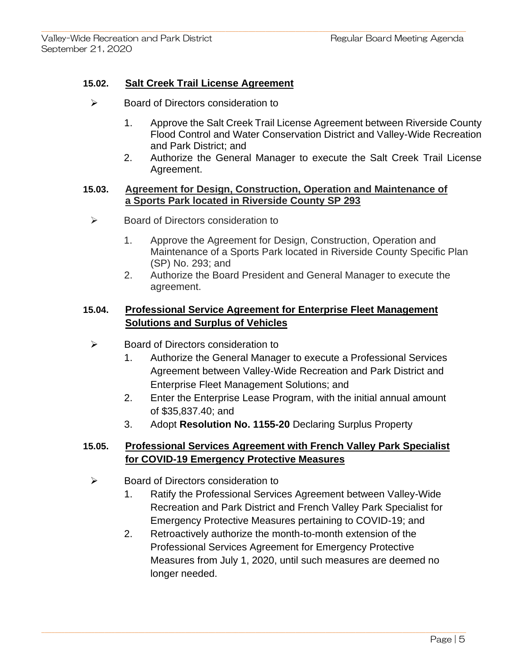## **15.02. Salt Creek Trail License Agreement**

- ➢ Board of Directors consideration to
	- 1. Approve the Salt Creek Trail License Agreement between Riverside County Flood Control and Water Conservation District and Valley-Wide Recreation and Park District; and
	- 2. Authorize the General Manager to execute the Salt Creek Trail License Agreement.

#### **15.03. Agreement for Design, Construction, Operation and Maintenance of a Sports Park located in Riverside County SP 293**

 $\mathcal{L}_\mathcal{L} = \{ \mathcal{L}_\mathcal{L} = \{ \mathcal{L}_\mathcal{L} = \{ \mathcal{L}_\mathcal{L} = \{ \mathcal{L}_\mathcal{L} = \{ \mathcal{L}_\mathcal{L} = \{ \mathcal{L}_\mathcal{L} = \{ \mathcal{L}_\mathcal{L} = \{ \mathcal{L}_\mathcal{L} = \{ \mathcal{L}_\mathcal{L} = \{ \mathcal{L}_\mathcal{L} = \{ \mathcal{L}_\mathcal{L} = \{ \mathcal{L}_\mathcal{L} = \{ \mathcal{L}_\mathcal{L} = \{ \mathcal{L}_\mathcal{$ 

- ➢ Board of Directors consideration to
	- 1. Approve the Agreement for Design, Construction, Operation and Maintenance of a Sports Park located in Riverside County Specific Plan (SP) No. 293; and
	- 2. Authorize the Board President and General Manager to execute the agreement.

## **15.04. Professional Service Agreement for Enterprise Fleet Management Solutions and Surplus of Vehicles**

- ➢ Board of Directors consideration to
	- 1. Authorize the General Manager to execute a Professional Services Agreement between Valley-Wide Recreation and Park District and Enterprise Fleet Management Solutions; and
	- 2. Enter the Enterprise Lease Program, with the initial annual amount of \$35,837.40; and
	- 3. Adopt **Resolution No. 1155-20** Declaring Surplus Property

## **15.05. Professional Services Agreement with French Valley Park Specialist for COVID-19 Emergency Protective Measures**

- ➢ Board of Directors consideration to
	- 1. Ratify the Professional Services Agreement between Valley-Wide Recreation and Park District and French Valley Park Specialist for Emergency Protective Measures pertaining to COVID-19; and
	- 2. Retroactively authorize the month-to-month extension of the Professional Services Agreement for Emergency Protective Measures from July 1, 2020, until such measures are deemed no longer needed.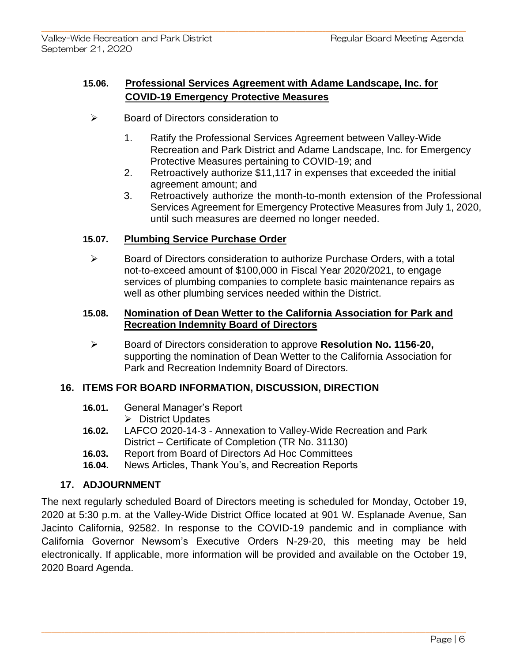## **15.06. Professional Services Agreement with Adame Landscape, Inc. for COVID-19 Emergency Protective Measures**

 $\mathcal{L}_\mathcal{L} = \{ \mathcal{L}_\mathcal{L} = \{ \mathcal{L}_\mathcal{L} = \{ \mathcal{L}_\mathcal{L} = \{ \mathcal{L}_\mathcal{L} = \{ \mathcal{L}_\mathcal{L} = \{ \mathcal{L}_\mathcal{L} = \{ \mathcal{L}_\mathcal{L} = \{ \mathcal{L}_\mathcal{L} = \{ \mathcal{L}_\mathcal{L} = \{ \mathcal{L}_\mathcal{L} = \{ \mathcal{L}_\mathcal{L} = \{ \mathcal{L}_\mathcal{L} = \{ \mathcal{L}_\mathcal{L} = \{ \mathcal{L}_\mathcal{$ 

- ➢ Board of Directors consideration to
	- 1. Ratify the Professional Services Agreement between Valley-Wide Recreation and Park District and Adame Landscape, Inc. for Emergency Protective Measures pertaining to COVID-19; and
	- 2. Retroactively authorize \$11,117 in expenses that exceeded the initial agreement amount; and
	- 3. Retroactively authorize the month-to-month extension of the Professional Services Agreement for Emergency Protective Measures from July 1, 2020, until such measures are deemed no longer needed.

## **15.07. Plumbing Service Purchase Order**

➢ Board of Directors consideration to authorize Purchase Orders, with a total not-to-exceed amount of \$100,000 in Fiscal Year 2020/2021, to engage services of plumbing companies to complete basic maintenance repairs as well as other plumbing services needed within the District.

## **15.08. Nomination of Dean Wetter to the California Association for Park and Recreation Indemnity Board of Directors**

➢ Board of Directors consideration to approve **Resolution No. 1156-20,** supporting the nomination of Dean Wetter to the California Association for Park and Recreation Indemnity Board of Directors.

## **16. ITEMS FOR BOARD INFORMATION, DISCUSSION, DIRECTION**

- **16.01.** General Manager's Report
	- ➢ District Updates
- **16.02.** LAFCO 2020-14-3 Annexation to Valley-Wide Recreation and Park District – Certificate of Completion (TR No. 31130)
- **16.03.** Report from Board of Directors Ad Hoc Committees
- **16.04.** News Articles, Thank You's, and Recreation Reports

## **17. ADJOURNMENT**

The next regularly scheduled Board of Directors meeting is scheduled for Monday, October 19, 2020 at 5:30 p.m. at the Valley-Wide District Office located at 901 W. Esplanade Avenue, San Jacinto California, 92582. In response to the COVID-19 pandemic and in compliance with California Governor Newsom's Executive Orders N-29-20, this meeting may be held electronically. If applicable, more information will be provided and available on the October 19, 2020 Board Agenda.